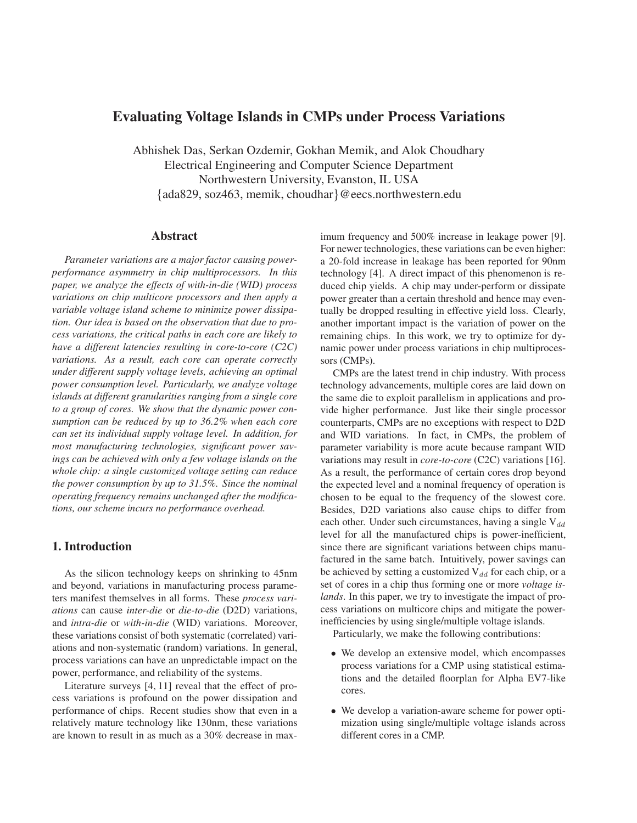# **Evaluating Voltage Islands in CMPs under Process Variations**

Abhishek Das, Serkan Ozdemir, Gokhan Memik, and Alok Choudhary Electrical Engineering and Computer Science Department Northwestern University, Evanston, IL USA {ada829, soz463, memik, choudhar}@eecs.northwestern.edu

# **Abstract**

*Parameter variations are a major factor causing powerperformance asymmetry in chip multiprocessors. In this paper, we analyze the effects of with-in-die (WID) process variations on chip multicore processors and then apply a variable voltage island scheme to minimize power dissipation. Our idea is based on the observation that due to process variations, the critical paths in each core are likely to have a different latencies resulting in core-to-core (C2C) variations. As a result, each core can operate correctly under different supply voltage levels, achieving an optimal power consumption level. Particularly, we analyze voltage islands at different granularities ranging from a single core to a group of cores. We show that the dynamic power consumption can be reduced by up to 36.2% when each core can set its individual supply voltage level. In addition, for most manufacturing technologies, significant power savings can be achieved with only a few voltage islands on the whole chip: a single customized voltage setting can reduce the power consumption by up to 31.5%. Since the nominal operating frequency remains unchanged after the modifications, our scheme incurs no performance overhead.*

# **1. Introduction**

As the silicon technology keeps on shrinking to 45nm and beyond, variations in manufacturing process parameters manifest themselves in all forms. These *process variations* can cause *inter-die* or *die-to-die* (D2D) variations, and *intra-die* or *with-in-die* (WID) variations. Moreover, these variations consist of both systematic (correlated) variations and non-systematic (random) variations. In general, process variations can have an unpredictable impact on the power, performance, and reliability of the systems.

Literature surveys [4, 11] reveal that the effect of process variations is profound on the power dissipation and performance of chips. Recent studies show that even in a relatively mature technology like 130nm, these variations are known to result in as much as a 30% decrease in maximum frequency and 500% increase in leakage power [9]. For newer technologies, these variations can be even higher: a 20-fold increase in leakage has been reported for 90nm technology [4]. A direct impact of this phenomenon is reduced chip yields. A chip may under-perform or dissipate power greater than a certain threshold and hence may eventually be dropped resulting in effective yield loss. Clearly, another important impact is the variation of power on the remaining chips. In this work, we try to optimize for dynamic power under process variations in chip multiprocessors (CMPs).

CMPs are the latest trend in chip industry. With process technology advancements, multiple cores are laid down on the same die to exploit parallelism in applications and provide higher performance. Just like their single processor counterparts, CMPs are no exceptions with respect to D2D and WID variations. In fact, in CMPs, the problem of parameter variability is more acute because rampant WID variations may result in *core-to-core* (C2C) variations [16]. As a result, the performance of certain cores drop beyond the expected level and a nominal frequency of operation is chosen to be equal to the frequency of the slowest core. Besides, D2D variations also cause chips to differ from each other. Under such circumstances, having a single  $V_{dd}$ level for all the manufactured chips is power-inefficient, since there are significant variations between chips manufactured in the same batch. Intuitively, power savings can be achieved by setting a customized  $V_{dd}$  for each chip, or a set of cores in a chip thus forming one or more *voltage islands*. In this paper, we try to investigate the impact of process variations on multicore chips and mitigate the powerinefficiencies by using single/multiple voltage islands.

Particularly, we make the following contributions:

- We develop an extensive model, which encompasses process variations for a CMP using statistical estimations and the detailed floorplan for Alpha EV7-like cores.
- We develop a variation-aware scheme for power optimization using single/multiple voltage islands across different cores in a CMP.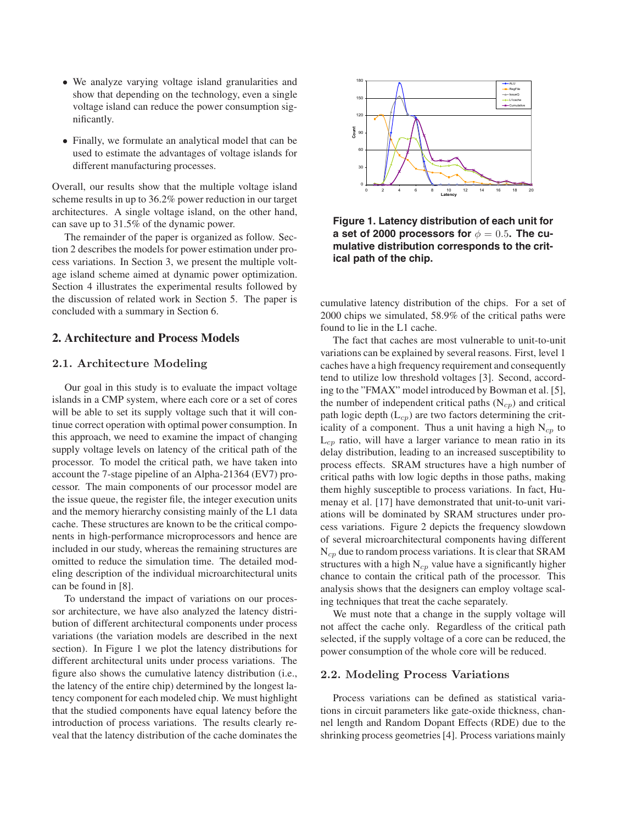- We analyze varying voltage island granularities and show that depending on the technology, even a single voltage island can reduce the power consumption significantly.
- Finally, we formulate an analytical model that can be used to estimate the advantages of voltage islands for different manufacturing processes.

Overall, our results show that the multiple voltage island scheme results in up to 36.2% power reduction in our target architectures. A single voltage island, on the other hand, can save up to 31.5% of the dynamic power.

The remainder of the paper is organized as follow. Section 2 describes the models for power estimation under process variations. In Section 3, we present the multiple voltage island scheme aimed at dynamic power optimization. Section 4 illustrates the experimental results followed by the discussion of related work in Section 5. The paper is concluded with a summary in Section 6.

# **2. Architecture and Process Models**

### **2.1. Architecture Modeling**

Our goal in this study is to evaluate the impact voltage islands in a CMP system, where each core or a set of cores will be able to set its supply voltage such that it will continue correct operation with optimal power consumption. In this approach, we need to examine the impact of changing supply voltage levels on latency of the critical path of the processor. To model the critical path, we have taken into account the 7-stage pipeline of an Alpha-21364 (EV7) processor. The main components of our processor model are the issue queue, the register file, the integer execution units and the memory hierarchy consisting mainly of the L1 data cache. These structures are known to be the critical components in high-performance microprocessors and hence are included in our study, whereas the remaining structures are omitted to reduce the simulation time. The detailed modeling description of the individual microarchitectural units can be found in [8].

To understand the impact of variations on our processor architecture, we have also analyzed the latency distribution of different architectural components under process variations (the variation models are described in the next section). In Figure 1 we plot the latency distributions for different architectural units under process variations. The figure also shows the cumulative latency distribution (i.e., the latency of the entire chip) determined by the longest latency component for each modeled chip. We must highlight that the studied components have equal latency before the introduction of process variations. The results clearly reveal that the latency distribution of the cache dominates the



**Figure 1. Latency distribution of each unit for a set of 2000 processors for**  $\phi = 0.5$ . The cu**mulative distribution corresponds to the critical path of the chip.**

cumulative latency distribution of the chips. For a set of 2000 chips we simulated, 58.9% of the critical paths were found to lie in the L1 cache.

The fact that caches are most vulnerable to unit-to-unit variations can be explained by several reasons. First, level 1 caches have a high frequency requirement and consequently tend to utilize low threshold voltages [3]. Second, according to the "FMAX" model introduced by Bowman et al. [5], the number of independent critical paths  $(N_{cp})$  and critical path logic depth  $(L_{cp})$  are two factors determining the criticality of a component. Thus a unit having a high  $N_{cp}$  to  $L_{cp}$  ratio, will have a larger variance to mean ratio in its delay distribution, leading to an increased susceptibility to process effects. SRAM structures have a high number of critical paths with low logic depths in those paths, making them highly susceptible to process variations. In fact, Humenay et al. [17] have demonstrated that unit-to-unit variations will be dominated by SRAM structures under process variations. Figure 2 depicts the frequency slowdown of several microarchitectural components having different  $N_{cp}$  due to random process variations. It is clear that SRAM structures with a high  $N_{cp}$  value have a significantly higher chance to contain the critical path of the processor. This analysis shows that the designers can employ voltage scaling techniques that treat the cache separately.

We must note that a change in the supply voltage will not affect the cache only. Regardless of the critical path selected, if the supply voltage of a core can be reduced, the power consumption of the whole core will be reduced.

#### **2.2. Modeling Process Variations**

Process variations can be defined as statistical variations in circuit parameters like gate-oxide thickness, channel length and Random Dopant Effects (RDE) due to the shrinking process geometries [4]. Process variations mainly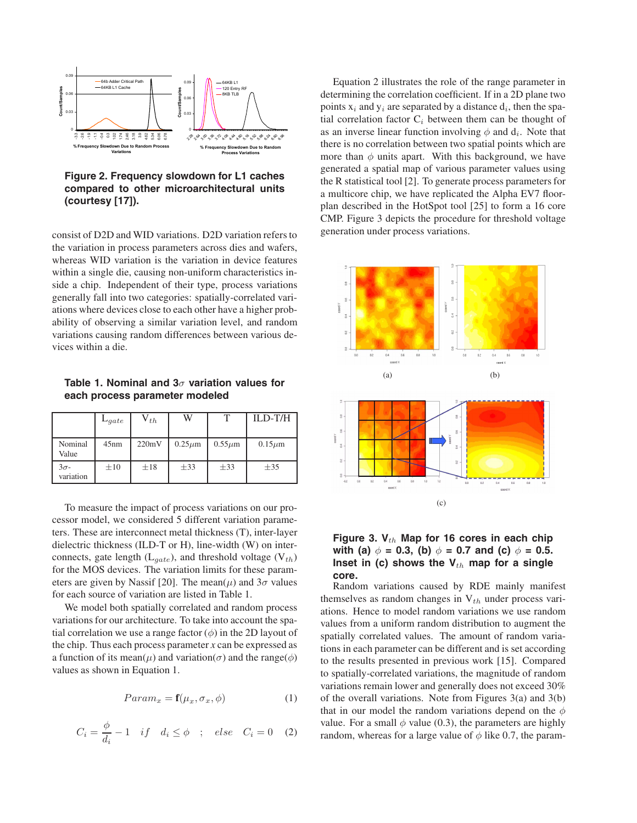

## **Figure 2. Frequency slowdown for L1 caches compared to other microarchitectural units (courtesy [17]).**

consist of D2D and WID variations. D2D variation refers to the variation in process parameters across dies and wafers, whereas WID variation is the variation in device features within a single die, causing non-uniform characteristics inside a chip. Independent of their type, process variations generally fall into two categories: spatially-correlated variations where devices close to each other have a higher probability of observing a similar variation level, and random variations causing random differences between various devices within a die.

**Table 1. Nominal and 3**σ **variation values for each process parameter modeled**

|                          | $L_{gate}$ | $V_{th}$ | W            | ௱            | ILD-T/H      |
|--------------------------|------------|----------|--------------|--------------|--------------|
| Nominal<br>Value         | 45nm       | 220mV    | $0.25 \mu m$ | $0.55 \mu m$ | $0.15 \mu m$ |
| $3\sigma$ -<br>variation | $\pm 10$   | $\pm 18$ | $\pm$ 33     | $\pm$ 33     | $\pm$ 35     |

To measure the impact of process variations on our processor model, we considered 5 different variation parameters. These are interconnect metal thickness (T), inter-layer dielectric thickness (ILD-T or H), line-width (W) on interconnects, gate length  $(L_{gate})$ , and threshold voltage  $(V_{th})$ for the MOS devices. The variation limits for these parameters are given by Nassif [20]. The mean( $\mu$ ) and  $3\sigma$  values for each source of variation are listed in Table 1.

We model both spatially correlated and random process variations for our architecture. To take into account the spatial correlation we use a range factor  $(\phi)$  in the 2D layout of the chip. Thus each process parameter *x* can be expressed as a function of its mean( $\mu$ ) and variation( $\sigma$ ) and the range( $\phi$ ) values as shown in Equation 1.

$$
Param_x = \mathbf{f}(\mu_x, \sigma_x, \phi) \tag{1}
$$

$$
C_i = \frac{\phi}{d_i} - 1 \quad if \quad d_i \le \phi \quad ; \quad else \quad C_i = 0 \quad (2)
$$

Equation 2 illustrates the role of the range parameter in determining the correlation coefficient. If in a 2D plane two points  $x_i$  and  $y_i$  are separated by a distance  $d_i$ , then the spatial correlation factor  $C_i$  between them can be thought of as an inverse linear function involving  $\phi$  and  $d_i$ . Note that there is no correlation between two spatial points which are more than  $\phi$  units apart. With this background, we have generated a spatial map of various parameter values using the R statistical tool [2]. To generate process parameters for a multicore chip, we have replicated the Alpha EV7 floorplan described in the HotSpot tool [25] to form a 16 core CMP. Figure 3 depicts the procedure for threshold voltage generation under process variations.



# Figure 3. V<sub>th</sub> Map for 16 cores in each chip **with (a)**  $\phi = 0.3$ , (b)  $\phi = 0.7$  and (c)  $\phi = 0.5$ . **Inset in (c) shows the**  $V_{th}$  **map for a single core.**

Random variations caused by RDE mainly manifest themselves as random changes in  $V_{th}$  under process variations. Hence to model random variations we use random values from a uniform random distribution to augment the spatially correlated values. The amount of random variations in each parameter can be different and is set according to the results presented in previous work [15]. Compared to spatially-correlated variations, the magnitude of random variations remain lower and generally does not exceed 30% of the overall variations. Note from Figures  $3(a)$  and  $3(b)$ that in our model the random variations depend on the  $\phi$ value. For a small  $\phi$  value (0.3), the parameters are highly random, whereas for a large value of  $\phi$  like 0.7, the param-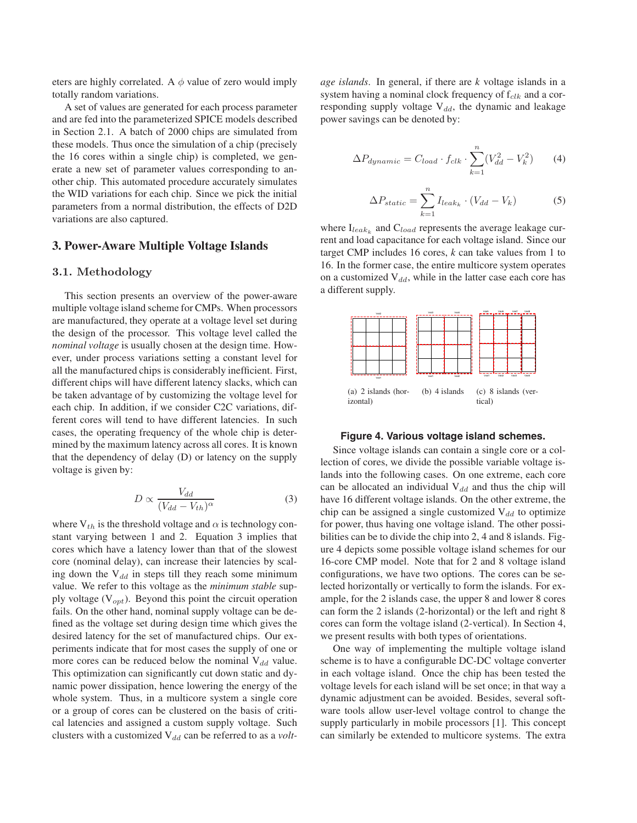eters are highly correlated. A  $\phi$  value of zero would imply totally random variations.

A set of values are generated for each process parameter and are fed into the parameterized SPICE models described in Section 2.1. A batch of 2000 chips are simulated from these models. Thus once the simulation of a chip (precisely the 16 cores within a single chip) is completed, we generate a new set of parameter values corresponding to another chip. This automated procedure accurately simulates the WID variations for each chip. Since we pick the initial parameters from a normal distribution, the effects of D2D variations are also captured.

### **3. Power-Aware Multiple Voltage Islands**

#### **3.1. Methodology**

This section presents an overview of the power-aware multiple voltage island scheme for CMPs. When processors are manufactured, they operate at a voltage level set during the design of the processor. This voltage level called the *nominal voltage* is usually chosen at the design time. However, under process variations setting a constant level for all the manufactured chips is considerably inefficient. First, different chips will have different latency slacks, which can be taken advantage of by customizing the voltage level for each chip. In addition, if we consider C2C variations, different cores will tend to have different latencies. In such cases, the operating frequency of the whole chip is determined by the maximum latency across all cores. It is known that the dependency of delay (D) or latency on the supply voltage is given by:

$$
D \propto \frac{V_{dd}}{(V_{dd} - V_{th})^{\alpha}} \tag{3}
$$

where  $V_{th}$  is the threshold voltage and  $\alpha$  is technology constant varying between 1 and 2. Equation 3 implies that cores which have a latency lower than that of the slowest core (nominal delay), can increase their latencies by scaling down the  $V_{dd}$  in steps till they reach some minimum value. We refer to this voltage as the *minimum stable* supply voltage  $(V_{opt})$ . Beyond this point the circuit operation fails. On the other hand, nominal supply voltage can be defined as the voltage set during design time which gives the desired latency for the set of manufactured chips. Our experiments indicate that for most cases the supply of one or more cores can be reduced below the nominal  $V_{dd}$  value. This optimization can significantly cut down static and dynamic power dissipation, hence lowering the energy of the whole system. Thus, in a multicore system a single core or a group of cores can be clustered on the basis of critical latencies and assigned a custom supply voltage. Such clusters with a customized V<sub>dd</sub> can be referred to as a *volt*- *age islands*. In general, if there are *k* voltage islands in a system having a nominal clock frequency of  $f_{clk}$  and a corresponding supply voltage  $V_{dd}$ , the dynamic and leakage power savings can be denoted by:

$$
\Delta P_{dynamic} = C_{load} \cdot f_{clk} \cdot \sum_{k=1}^{n} (V_{dd}^2 - V_k^2) \tag{4}
$$

$$
\Delta P_{static} = \sum_{k=1}^{n} I_{leak_k} \cdot (V_{dd} - V_k)
$$
 (5)

where  $I_{leak_k}$  and  $C_{load}$  represents the average leakage current and load capacitance for each voltage island. Since our target CMP includes 16 cores, *k* can take values from 1 to 16. In the former case, the entire multicore system operates on a customized  $V_{dd}$ , while in the latter case each core has a different supply.



#### **Figure 4. Various voltage island schemes.**

Since voltage islands can contain a single core or a collection of cores, we divide the possible variable voltage islands into the following cases. On one extreme, each core can be allocated an individual  $V_{dd}$  and thus the chip will have 16 different voltage islands. On the other extreme, the chip can be assigned a single customized  $V_{dd}$  to optimize for power, thus having one voltage island. The other possibilities can be to divide the chip into 2, 4 and 8 islands. Figure 4 depicts some possible voltage island schemes for our 16-core CMP model. Note that for 2 and 8 voltage island configurations, we have two options. The cores can be selected horizontally or vertically to form the islands. For example, for the 2 islands case, the upper 8 and lower 8 cores can form the 2 islands (2-horizontal) or the left and right 8 cores can form the voltage island (2-vertical). In Section 4, we present results with both types of orientations.

One way of implementing the multiple voltage island scheme is to have a configurable DC-DC voltage converter in each voltage island. Once the chip has been tested the voltage levels for each island will be set once; in that way a dynamic adjustment can be avoided. Besides, several software tools allow user-level voltage control to change the supply particularly in mobile processors [1]. This concept can similarly be extended to multicore systems. The extra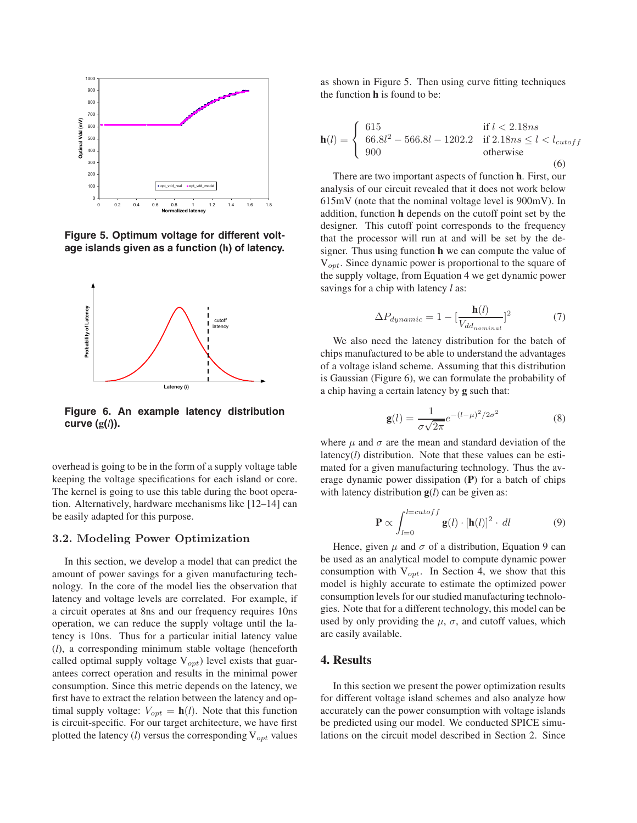

**Figure 5. Optimum voltage for different voltage islands given as a function (h) of latency.**



**Figure 6. An example latency distribution curve (g(***l***)).**

overhead is going to be in the form of a supply voltage table keeping the voltage specifications for each island or core. The kernel is going to use this table during the boot operation. Alternatively, hardware mechanisms like [12–14] can be easily adapted for this purpose.

### **3.2. Modeling Power Optimization**

In this section, we develop a model that can predict the amount of power savings for a given manufacturing technology. In the core of the model lies the observation that latency and voltage levels are correlated. For example, if a circuit operates at 8ns and our frequency requires 10ns operation, we can reduce the supply voltage until the latency is 10ns. Thus for a particular initial latency value (*l*), a corresponding minimum stable voltage (henceforth called optimal supply voltage  $V_{opt}$ ) level exists that guarantees correct operation and results in the minimal power consumption. Since this metric depends on the latency, we first have to extract the relation between the latency and optimal supply voltage:  $V_{opt} = \mathbf{h}(l)$ . Note that this function is circuit-specific. For our target architecture, we have first plotted the latency  $(l)$  versus the corresponding  $V_{opt}$  values as shown in Figure 5. Then using curve fitting techniques the function **h** is found to be:

$$
\mathbf{h}(l) = \begin{cases} 615 & \text{if } l < 2.18ns \\ 66.8l^2 - 566.8l - 1202.2 & \text{if } 2.18ns \le l < l_{cutoff} \\ 900 & \text{otherwise} \end{cases}
$$
(6)

There are two important aspects of function **h**. First, our analysis of our circuit revealed that it does not work below 615mV (note that the nominal voltage level is 900mV). In addition, function **h** depends on the cutoff point set by the designer. This cutoff point corresponds to the frequency that the processor will run at and will be set by the designer. Thus using function **h** we can compute the value of  $V_{opt}$ . Since dynamic power is proportional to the square of the supply voltage, from Equation 4 we get dynamic power savings for a chip with latency *l* as:

$$
\Delta P_{dynamic} = 1 - \left[\frac{\mathbf{h}(l)}{V_{dd_{nominal}}}\right]^2 \tag{7}
$$

We also need the latency distribution for the batch of chips manufactured to be able to understand the advantages of a voltage island scheme. Assuming that this distribution is Gaussian (Figure 6), we can formulate the probability of a chip having a certain latency by **g** such that:

$$
\mathbf{g}(l) = \frac{1}{\sigma\sqrt{2\pi}}e^{-(l-\mu)^2/2\sigma^2}
$$
 (8)

where  $\mu$  and  $\sigma$  are the mean and standard deviation of the latency(*l*) distribution. Note that these values can be estimated for a given manufacturing technology. Thus the average dynamic power dissipation (**P**) for a batch of chips with latency distribution **g**(*l*) can be given as:

$$
\mathbf{P} \propto \int_{l=0}^{l=cutoff} \mathbf{g}(l) \cdot [\mathbf{h}(l)]^2 \cdot dl \tag{9}
$$

Hence, given  $\mu$  and  $\sigma$  of a distribution, Equation 9 can be used as an analytical model to compute dynamic power consumption with  $V_{opt}$ . In Section 4, we show that this model is highly accurate to estimate the optimized power consumption levels for our studied manufacturing technologies. Note that for a different technology, this model can be used by only providing the  $\mu$ ,  $\sigma$ , and cutoff values, which are easily available.

# **4. Results**

In this section we present the power optimization results for different voltage island schemes and also analyze how accurately can the power consumption with voltage islands be predicted using our model. We conducted SPICE simulations on the circuit model described in Section 2. Since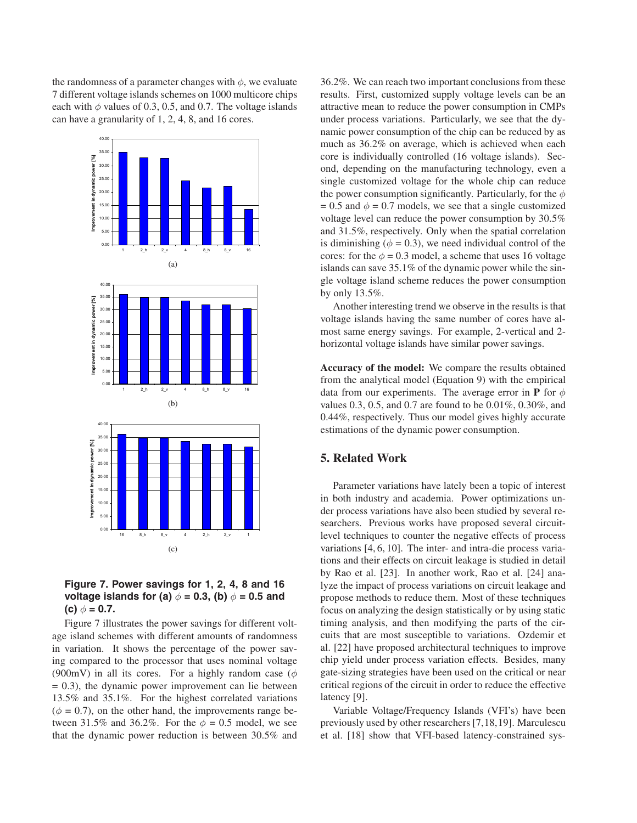the randomness of a parameter changes with  $\phi$ , we evaluate 7 different voltage islands schemes on 1000 multicore chips each with  $\phi$  values of 0.3, 0.5, and 0.7. The voltage islands can have a granularity of 1, 2, 4, 8, and 16 cores.





Figure 7 illustrates the power savings for different voltage island schemes with different amounts of randomness in variation. It shows the percentage of the power saving compared to the processor that uses nominal voltage (900mV) in all its cores. For a highly random case ( $\phi$  $= 0.3$ ), the dynamic power improvement can lie between 13.5% and 35.1%. For the highest correlated variations  $(\phi = 0.7)$ , on the other hand, the improvements range between 31.5% and 36.2%. For the  $\phi = 0.5$  model, we see that the dynamic power reduction is between 30.5% and 36.2%. We can reach two important conclusions from these results. First, customized supply voltage levels can be an attractive mean to reduce the power consumption in CMPs under process variations. Particularly, we see that the dynamic power consumption of the chip can be reduced by as much as 36.2% on average, which is achieved when each core is individually controlled (16 voltage islands). Second, depending on the manufacturing technology, even a single customized voltage for the whole chip can reduce the power consumption significantly. Particularly, for the  $\phi$ = 0.5 and  $\phi$  = 0.7 models, we see that a single customized voltage level can reduce the power consumption by 30.5% and 31.5%, respectively. Only when the spatial correlation is diminishing ( $\phi = 0.3$ ), we need individual control of the cores: for the  $\phi = 0.3$  model, a scheme that uses 16 voltage islands can save 35.1% of the dynamic power while the single voltage island scheme reduces the power consumption by only 13.5%.

Another interesting trend we observe in the results is that voltage islands having the same number of cores have almost same energy savings. For example, 2-vertical and 2 horizontal voltage islands have similar power savings.

**Accuracy of the model:** We compare the results obtained from the analytical model (Equation 9) with the empirical data from our experiments. The average error in **P** for  $\phi$ values 0.3, 0.5, and 0.7 are found to be 0.01%, 0.30%, and 0.44%, respectively. Thus our model gives highly accurate estimations of the dynamic power consumption.

# **5. Related Work**

Parameter variations have lately been a topic of interest in both industry and academia. Power optimizations under process variations have also been studied by several researchers. Previous works have proposed several circuitlevel techniques to counter the negative effects of process variations [4, 6, 10]. The inter- and intra-die process variations and their effects on circuit leakage is studied in detail by Rao et al. [23]. In another work, Rao et al. [24] analyze the impact of process variations on circuit leakage and propose methods to reduce them. Most of these techniques focus on analyzing the design statistically or by using static timing analysis, and then modifying the parts of the circuits that are most susceptible to variations. Ozdemir et al. [22] have proposed architectural techniques to improve chip yield under process variation effects. Besides, many gate-sizing strategies have been used on the critical or near critical regions of the circuit in order to reduce the effective latency [9].

Variable Voltage/Frequency Islands (VFI's) have been previously used by other researchers [7,18,19]. Marculescu et al. [18] show that VFI-based latency-constrained sys-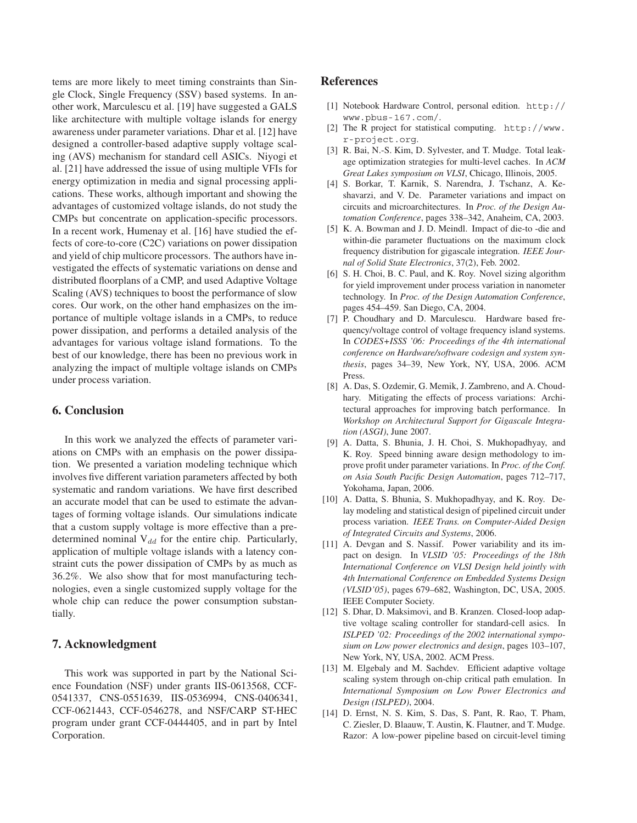tems are more likely to meet timing constraints than Single Clock, Single Frequency (SSV) based systems. In another work, Marculescu et al. [19] have suggested a GALS like architecture with multiple voltage islands for energy awareness under parameter variations. Dhar et al. [12] have designed a controller-based adaptive supply voltage scaling (AVS) mechanism for standard cell ASICs. Niyogi et al. [21] have addressed the issue of using multiple VFIs for energy optimization in media and signal processing applications. These works, although important and showing the advantages of customized voltage islands, do not study the CMPs but concentrate on application-specific processors. In a recent work, Humenay et al. [16] have studied the effects of core-to-core (C2C) variations on power dissipation and yield of chip multicore processors. The authors have investigated the effects of systematic variations on dense and distributed floorplans of a CMP, and used Adaptive Voltage Scaling (AVS) techniques to boost the performance of slow cores. Our work, on the other hand emphasizes on the importance of multiple voltage islands in a CMPs, to reduce power dissipation, and performs a detailed analysis of the advantages for various voltage island formations. To the best of our knowledge, there has been no previous work in analyzing the impact of multiple voltage islands on CMPs under process variation.

### **6. Conclusion**

In this work we analyzed the effects of parameter variations on CMPs with an emphasis on the power dissipation. We presented a variation modeling technique which involves five different variation parameters affected by both systematic and random variations. We have first described an accurate model that can be used to estimate the advantages of forming voltage islands. Our simulations indicate that a custom supply voltage is more effective than a predetermined nominal  $V_{dd}$  for the entire chip. Particularly, application of multiple voltage islands with a latency constraint cuts the power dissipation of CMPs by as much as 36.2%. We also show that for most manufacturing technologies, even a single customized supply voltage for the whole chip can reduce the power consumption substantially.

### **7. Acknowledgment**

This work was supported in part by the National Science Foundation (NSF) under grants IIS-0613568, CCF-0541337, CNS-0551639, IIS-0536994, CNS-0406341, CCF-0621443, CCF-0546278, and NSF/CARP ST-HEC program under grant CCF-0444405, and in part by Intel Corporation.

### **References**

- [1] Notebook Hardware Control, personal edition. http:// www.pbus-167.com/.
- [2] The R project for statistical computing. http://www. r-project.org.
- [3] R. Bai, N.-S. Kim, D. Sylvester, and T. Mudge. Total leakage optimization strategies for multi-level caches. In *ACM Great Lakes symposium on VLSI*, Chicago, Illinois, 2005.
- [4] S. Borkar, T. Karnik, S. Narendra, J. Tschanz, A. Keshavarzi, and V. De. Parameter variations and impact on circuits and microarchitectures. In *Proc. of the Design Automation Conference*, pages 338–342, Anaheim, CA, 2003.
- [5] K. A. Bowman and J. D. Meindl. Impact of die-to -die and within-die parameter fluctuations on the maximum clock frequency distribution for gigascale integration. *IEEE Journal of Solid State Electronics*, 37(2), Feb. 2002.
- [6] S. H. Choi, B. C. Paul, and K. Roy. Novel sizing algorithm for yield improvement under process variation in nanometer technology. In *Proc. of the Design Automation Conference*, pages 454–459. San Diego, CA, 2004.
- [7] P. Choudhary and D. Marculescu. Hardware based frequency/voltage control of voltage frequency island systems. In *CODES+ISSS '06: Proceedings of the 4th international conference on Hardware/software codesign and system synthesis*, pages 34–39, New York, NY, USA, 2006. ACM Press.
- [8] A. Das, S. Ozdemir, G. Memik, J. Zambreno, and A. Choudhary. Mitigating the effects of process variations: Architectural approaches for improving batch performance. In *Workshop on Architectural Support for Gigascale Integration (ASGI)*, June 2007.
- [9] A. Datta, S. Bhunia, J. H. Choi, S. Mukhopadhyay, and K. Roy. Speed binning aware design methodology to improve profit under parameter variations. In *Proc. of the Conf. on Asia South Pacific Design Automation*, pages 712–717, Yokohama, Japan, 2006.
- [10] A. Datta, S. Bhunia, S. Mukhopadhyay, and K. Roy. Delay modeling and statistical design of pipelined circuit under process variation. *IEEE Trans. on Computer-Aided Design of Integrated Circuits and Systems*, 2006.
- [11] A. Devgan and S. Nassif. Power variability and its impact on design. In *VLSID '05: Proceedings of the 18th International Conference on VLSI Design held jointly with 4th International Conference on Embedded Systems Design (VLSID'05)*, pages 679–682, Washington, DC, USA, 2005. IEEE Computer Society.
- [12] S. Dhar, D. Maksimovi, and B. Kranzen. Closed-loop adaptive voltage scaling controller for standard-cell asics. In *ISLPED '02: Proceedings of the 2002 international symposium on Low power electronics and design*, pages 103–107, New York, NY, USA, 2002. ACM Press.
- [13] M. Elgebaly and M. Sachdev. Efficient adaptive voltage scaling system through on-chip critical path emulation. In *International Symposium on Low Power Electronics and Design (ISLPED)*, 2004.
- [14] D. Ernst, N. S. Kim, S. Das, S. Pant, R. Rao, T. Pham, C. Ziesler, D. Blaauw, T. Austin, K. Flautner, and T. Mudge. Razor: A low-power pipeline based on circuit-level timing